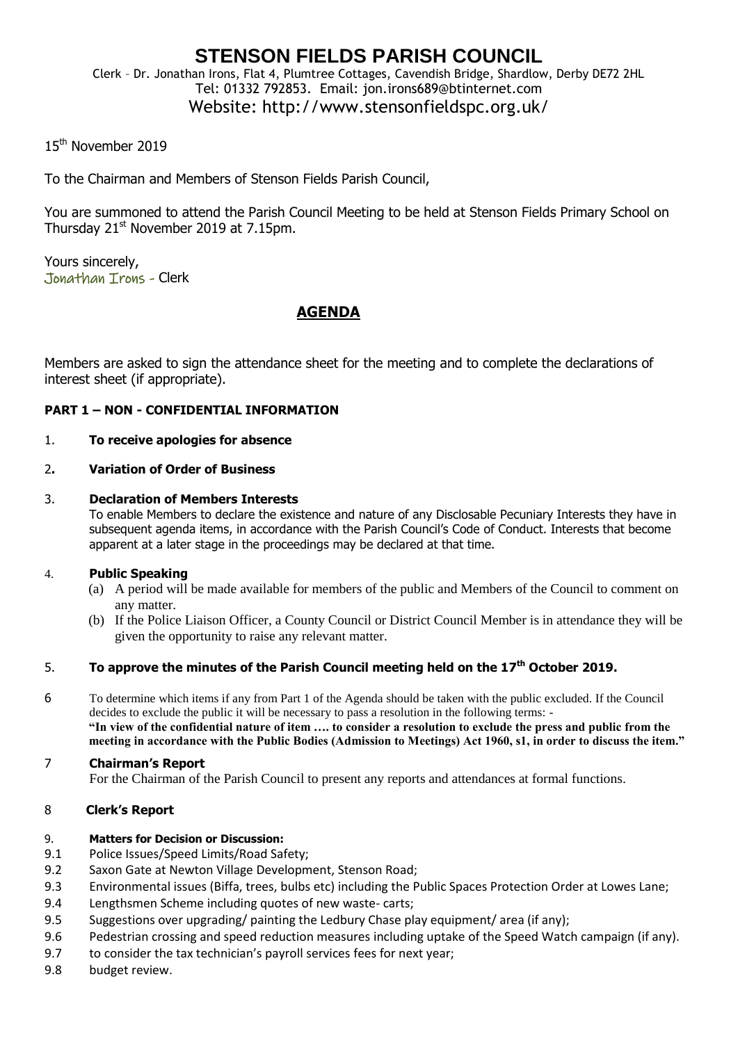## **STENSON FIELDS PARISH COUNCIL** Clerk – Dr. Jonathan Irons, Flat 4, Plumtree Cottages, Cavendish Bridge, Shardlow, Derby DE72 2HL Tel: 01332 792853. Email: jon.irons689@btinternet.com

# Website: http://www.stensonfieldspc.org.uk/

## 15<sup>th</sup> November 2019

To the Chairman and Members of Stenson Fields Parish Council,

You are summoned to attend the Parish Council Meeting to be held at Stenson Fields Primary School on Thursday  $21^{st}$  November 2019 at 7.15pm.

Yours sincerely, Jonathan Irons - Clerk

## **AGENDA**

Members are asked to sign the attendance sheet for the meeting and to complete the declarations of interest sheet (if appropriate).

## **PART 1 – NON - CONFIDENTIAL INFORMATION**

#### 1. **To receive apologies for absence**

## 2**. Variation of Order of Business**

#### 3. **Declaration of Members Interests**

To enable Members to declare the existence and nature of any Disclosable Pecuniary Interests they have in subsequent agenda items, in accordance with the Parish Council's Code of Conduct. Interests that become apparent at a later stage in the proceedings may be declared at that time.

## 4. **Public Speaking**

- (a) A period will be made available for members of the public and Members of the Council to comment on any matter.
- (b) If the Police Liaison Officer, a County Council or District Council Member is in attendance they will be given the opportunity to raise any relevant matter.

## 5. **To approve the minutes of the Parish Council meeting held on the 17th October 2019.**

6 To determine which items if any from Part 1 of the Agenda should be taken with the public excluded. If the Council decides to exclude the public it will be necessary to pass a resolution in the following terms: - **"In view of the confidential nature of item …. to consider a resolution to exclude the press and public from the meeting in accordance with the Public Bodies (Admission to Meetings) Act 1960, s1, in order to discuss the item."** 

#### 7 **Chairman's Report**

For the Chairman of the Parish Council to present any reports and attendances at formal functions.

## 8 **Clerk's Report**

#### 9. **Matters for Decision or Discussion:**

- 9.1 Police Issues/Speed Limits/Road Safety;
- 9.2 Saxon Gate at Newton Village Development, Stenson Road;
- 9.3 Environmental issues (Biffa, trees, bulbs etc) including the Public Spaces Protection Order at Lowes Lane;
- 9.4 Lengthsmen Scheme including quotes of new waste- carts;
- 9.5 Suggestions over upgrading/ painting the Ledbury Chase play equipment/ area (if any);
- 9.6 Pedestrian crossing and speed reduction measures including uptake of the Speed Watch campaign (if any).
- 9.7 to consider the tax technician's payroll services fees for next year;
- 9.8 budget review.